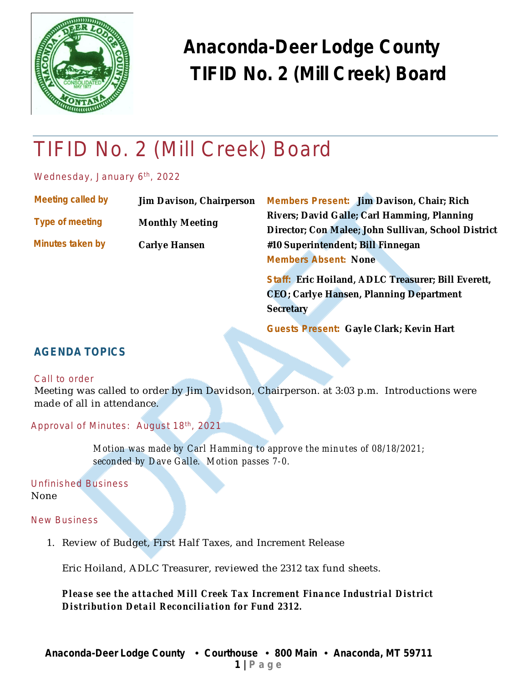

# TIFID No. 2 (Mill Creek) Board

Wednesday, January 6<sup>th</sup>, 2022

| Meeting called by       | <b>Jim Davison, Chairperson</b> | <b>Members Present: Jim Davison, Chair; Rich</b>    |  |  |  |  |  |
|-------------------------|---------------------------------|-----------------------------------------------------|--|--|--|--|--|
| <b>Type of meeting</b>  |                                 | Rivers; David Galle; Carl Hamming, Planning         |  |  |  |  |  |
|                         | <b>Monthly Meeting</b>          | Director; Con Malee; John Sullivan, School District |  |  |  |  |  |
| <b>Minutes taken by</b> | <b>Carlye Hansen</b>            | #10 Superintendent; Bill Finnegan                   |  |  |  |  |  |
|                         |                                 | <b>Members Absent: None</b>                         |  |  |  |  |  |
|                         |                                 |                                                     |  |  |  |  |  |

**Staff: Eric Hoiland, ADLC Treasurer; Bill Everett, CEO; Carlye Hansen, Planning Department Secretary**

**Guests Present: Gayle Clark; Kevin Hart**

#### **AGENDA TOPICS**

#### Call to order

Meeting was called to order by Jim Davidson, Chairperson. at 3:03 p.m. Introductions were made of all in attendance.

Approval of Minutes: August 18<sup>th</sup>, 2021

*Motion was made by Carl Hamming to approve the minutes of 08/18/2021; seconded by Dave Galle. Motion passes 7-0.*

Unfinished Business None

New Business

1. Review of Budget, First Half Taxes, and Increment Release

Eric Hoiland, ADLC Treasurer, reviewed the 2312 tax fund sheets.

*Please see the attached Mill Creek Tax Increment Finance Industrial District Distribution Detail Reconciliation for Fund 2312.*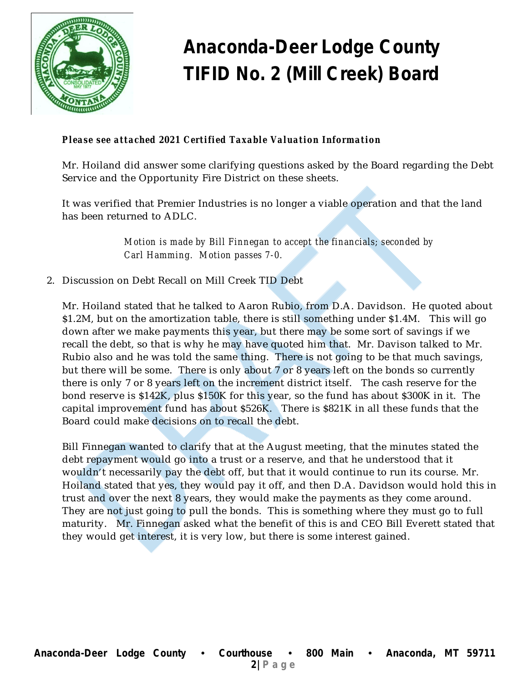

#### *Please see attached 2021 Certified Taxable Valuation Information*

Mr. Hoiland did answer some clarifying questions asked by the Board regarding the Debt Service and the Opportunity Fire District on these sheets.

It was verified that Premier Industries is no longer a viable operation and that the land has been returned to ADLC.

> *Motion is made by Bill Finnegan to accept the financials; seconded by Carl Hamming. Motion passes 7-0.*

2. Discussion on Debt Recall on Mill Creek TID Debt

Mr. Hoiland stated that he talked to Aaron Rubio, from D.A. Davidson. He quoted about \$1.2M, but on the amortization table, there is still something under \$1.4M. This will go down after we make payments this year, but there may be some sort of savings if we recall the debt, so that is why he may have quoted him that. Mr. Davison talked to Mr. Rubio also and he was told the same thing. There is not going to be that much savings, but there will be some. There is only about 7 or 8 years left on the bonds so currently there is only 7 or 8 years left on the increment district itself. The cash reserve for the bond reserve is \$142K, plus \$150K for this year, so the fund has about \$300K in it. The capital improvement fund has about \$526K. There is \$821K in all these funds that the Board could make decisions on to recall the debt.

Bill Finnegan wanted to clarify that at the August meeting, that the minutes stated the debt repayment would go into a trust or a reserve, and that he understood that it wouldn't necessarily pay the debt off, but that it would continue to run its course. Mr. Hoiland stated that yes, they would pay it off, and then D.A. Davidson would hold this in trust and over the next 8 years, they would make the payments as they come around. They are not just going to pull the bonds. This is something where they must go to full maturity. Mr. Finnegan asked what the benefit of this is and CEO Bill Everett stated that they would get interest, it is very low, but there is some interest gained.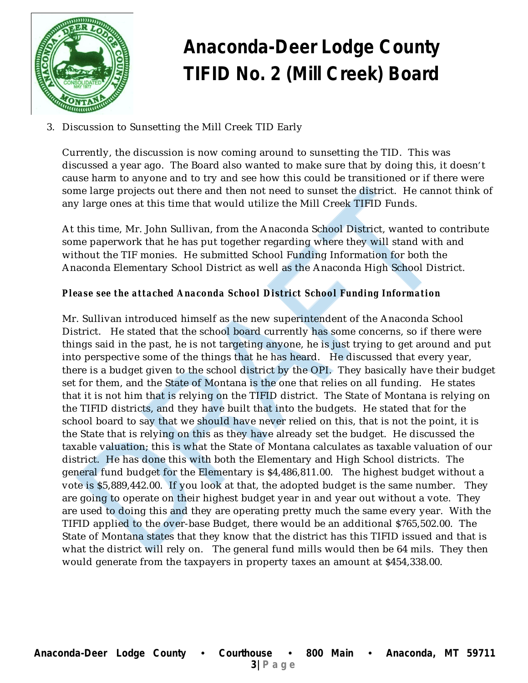

3. Discussion to Sunsetting the Mill Creek TID Early

Currently, the discussion is now coming around to sunsetting the TID. This was discussed a year ago. The Board also wanted to make sure that by doing this, it doesn't cause harm to anyone and to try and see how this could be transitioned or if there were some large projects out there and then not need to sunset the district. He cannot think of any large ones at this time that would utilize the Mill Creek TIFID Funds.

At this time, Mr. John Sullivan, from the Anaconda School District, wanted to contribute some paperwork that he has put together regarding where they will stand with and without the TIF monies. He submitted School Funding Information for both the Anaconda Elementary School District as well as the Anaconda High School District.

#### *Please see the attached Anaconda School District School Funding Information*

Mr. Sullivan introduced himself as the new superintendent of the Anaconda School District. He stated that the school board currently has some concerns, so if there were things said in the past, he is not targeting anyone, he is just trying to get around and put into perspective some of the things that he has heard. He discussed that every year, there is a budget given to the school district by the OPI. They basically have their budget set for them, and the State of Montana is the one that relies on all funding. He states that it is not him that is relying on the TIFID district. The State of Montana is relying on the TIFID districts, and they have built that into the budgets. He stated that for the school board to say that we should have never relied on this, that is not the point, it is the State that is relying on this as they have already set the budget. He discussed the taxable valuation; this is what the State of Montana calculates as taxable valuation of our district. He has done this with both the Elementary and High School districts. The general fund budget for the Elementary is \$4,486,811.00. The highest budget without a vote is \$5,889,442.00. If you look at that, the adopted budget is the same number. They are going to operate on their highest budget year in and year out without a vote. They are used to doing this and they are operating pretty much the same every year. With the TIFID applied to the over-base Budget, there would be an additional \$765,502.00. The State of Montana states that they know that the district has this TIFID issued and that is what the district will rely on. The general fund mills would then be 64 mils. They then would generate from the taxpayers in property taxes an amount at \$454,338.00.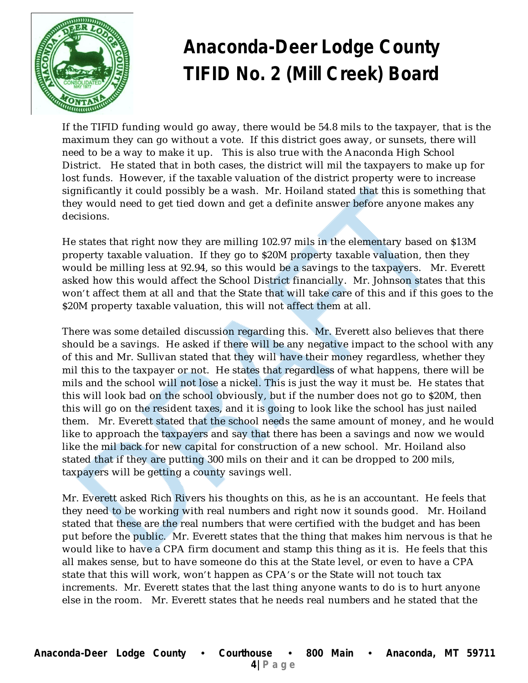

If the TIFID funding would go away, there would be 54.8 mils to the taxpayer, that is the maximum they can go without a vote. If this district goes away, or sunsets, there will need to be a way to make it up. This is also true with the Anaconda High School District. He stated that in both cases, the district will mil the taxpayers to make up for lost funds. However, if the taxable valuation of the district property were to increase significantly it could possibly be a wash. Mr. Hoiland stated that this is something that they would need to get tied down and get a definite answer before anyone makes any decisions.

He states that right now they are milling 102.97 mils in the elementary based on \$13M property taxable valuation. If they go to \$20M property taxable valuation, then they would be milling less at 92.94, so this would be a savings to the taxpayers. Mr. Everett asked how this would affect the School District financially. Mr. Johnson states that this won't affect them at all and that the State that will take care of this and if this goes to the \$20M property taxable valuation, this will not affect them at all.

There was some detailed discussion regarding this. Mr. Everett also believes that there should be a savings. He asked if there will be any negative impact to the school with any of this and Mr. Sullivan stated that they will have their money regardless, whether they mil this to the taxpayer or not. He states that regardless of what happens, there will be mils and the school will not lose a nickel. This is just the way it must be. He states that this will look bad on the school obviously, but if the number does not go to \$20M, then this will go on the resident taxes, and it is going to look like the school has just nailed them. Mr. Everett stated that the school needs the same amount of money, and he would like to approach the taxpayers and say that there has been a savings and now we would like the mil back for new capital for construction of a new school. Mr. Hoiland also stated that if they are putting 300 mils on their and it can be dropped to 200 mils, taxpayers will be getting a county savings well.

Mr. Everett asked Rich Rivers his thoughts on this, as he is an accountant. He feels that they need to be working with real numbers and right now it sounds good. Mr. Hoiland stated that these are the real numbers that were certified with the budget and has been put before the public. Mr. Everett states that the thing that makes him nervous is that he would like to have a CPA firm document and stamp this thing as it is. He feels that this all makes sense, but to have someone do this at the State level, or even to have a CPA state that this will work, won't happen as CPA's or the State will not touch tax increments. Mr. Everett states that the last thing anyone wants to do is to hurt anyone else in the room. Mr. Everett states that he needs real numbers and he stated that the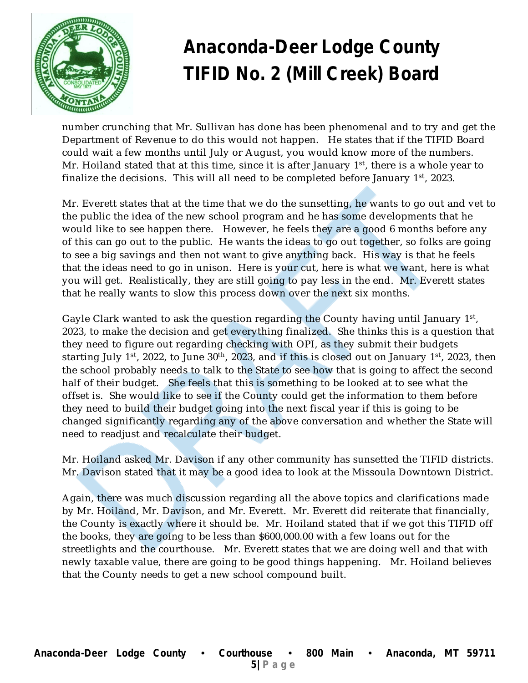

number crunching that Mr. Sullivan has done has been phenomenal and to try and get the Department of Revenue to do this would not happen. He states that if the TIFID Board could wait a few months until July or August, you would know more of the numbers. Mr. Hoiland stated that at this time, since it is after January 1<sup>st</sup>, there is a whole year to finalize the decisions. This will all need to be completed before January 1st, 2023.

Mr. Everett states that at the time that we do the sunsetting, he wants to go out and vet to the public the idea of the new school program and he has some developments that he would like to see happen there. However, he feels they are a good 6 months before any of this can go out to the public. He wants the ideas to go out together, so folks are going to see a big savings and then not want to give anything back. His way is that he feels that the ideas need to go in unison. Here is your cut, here is what we want, here is what you will get. Realistically, they are still going to pay less in the end. Mr. Everett states that he really wants to slow this process down over the next six months.

Gayle Clark wanted to ask the question regarding the County having until January 1st, 2023, to make the decision and get everything finalized. She thinks this is a question that they need to figure out regarding checking with OPI, as they submit their budgets starting July 1 $^{\rm st}$ , 2022, to June 30 $^{\rm th}$ , 2023, and if this is closed out on January 1 $^{\rm st}$ , 2023, then the school probably needs to talk to the State to see how that is going to affect the second half of their budget. She feels that this is something to be looked at to see what the offset is. She would like to see if the County could get the information to them before they need to build their budget going into the next fiscal year if this is going to be changed significantly regarding any of the above conversation and whether the State will need to readjust and recalculate their budget.

Mr. Hoiland asked Mr. Davison if any other community has sunsetted the TIFID districts. Mr. Davison stated that it may be a good idea to look at the Missoula Downtown District.

Again, there was much discussion regarding all the above topics and clarifications made by Mr. Hoiland, Mr. Davison, and Mr. Everett. Mr. Everett did reiterate that financially, the County is exactly where it should be. Mr. Hoiland stated that if we got this TIFID off the books, they are going to be less than \$600,000.00 with a few loans out for the streetlights and the courthouse. Mr. Everett states that we are doing well and that with newly taxable value, there are going to be good things happening. Mr. Hoiland believes that the County needs to get a new school compound built.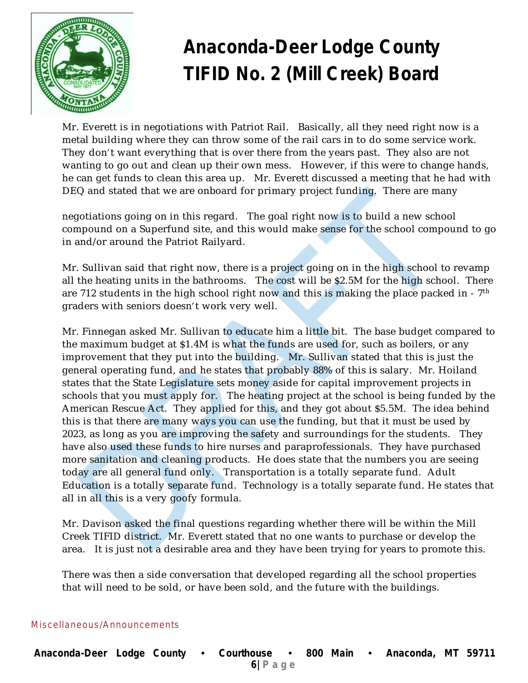

Mr. Everett is in negotiations with Patriot Rail. Basically, all they need right now is a metal building where they can throw some of the rail cars in to do some service work. They don't want everything that is over there from the years past. They also are not wanting to go out and clean up their own mess. However, if this were to change hands, he can get funds to clean this area up. Mr. Everett discussed a meeting that he had with DEQ and stated that we are onboard for primary project funding. There are many

negotiations going on in this regard. The goal right now is to build a new school compound on a Superfund site, and this would make sense for the school compound to go in and/or around the Patriot Railyard.

Mr. Sullivan said that right now, there is a project going on in the high school to revamp all the heating units in the bathrooms. The cost will be \$2.5M for the high school. There are 712 students in the high school right now and this is making the place packed in -  $7^{\rm th}$ graders with seniors doesn't work very well.

Mr. Finnegan asked Mr. Sullivan to educate him a little bit. The base budget compared to the maximum budget at \$1.4M is what the funds are used for, such as boilers, or any improvement that they put into the building. Mr. Sullivan stated that this is just the general operating fund, and he states that probably 88% of this is salary. Mr. Hoiland states that the State Legislature sets money aside for capital improvement projects in schools that you must apply for. The heating project at the school is being funded by the American Rescue Act. They applied for this, and they got about \$5.5M. The idea behind this is that there are many ways you can use the funding, but that it must be used by 2023, as long as you are improving the safety and surroundings for the students. They have also used these funds to hire nurses and paraprofessionals. They have purchased more sanitation and cleaning products. He does state that the numbers you are seeing today are all general fund only. Transportation is a totally separate fund. Adult Education is a totally separate fund. Technology is a totally separate fund. He states that all in all this is a very goofy formula.

Mr. Davison asked the final questions regarding whether there will be within the Mill Creek TIFID district. Mr. Everett stated that no one wants to purchase or develop the area. It is just not a desirable area and they have been trying for years to promote this.

There was then a side conversation that developed regarding all the school properties that will need to be sold, or have been sold, and the future with the buildings.

Miscellaneous/Announcements

| Anaconda-Deer Lodge County . Courthouse . 800 Main |  |  |  |  |  |  |  | Anaconda, MT 59711 |  |  |
|----------------------------------------------------|--|--|--|--|--|--|--|--------------------|--|--|
| $6$ Page                                           |  |  |  |  |  |  |  |                    |  |  |